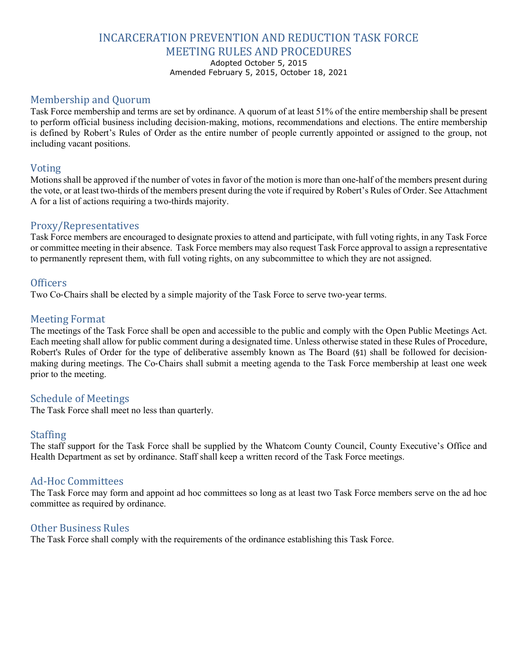## INCARCERATION PREVENTION AND REDUCTION TASK FORCE MEETING RULES AND PROCEDURES

Adopted October 5, 2015

Amended February 5, 2015, October 18, 2021

## Membership and Quorum

Task Force membership and terms are set by ordinance. A quorum of at least 51% of the entire membership shall be present to perform official business including decision-making, motions, recommendations and elections. The entire membership is defined by Robert's Rules of Order as the entire number of people currently appointed or assigned to the group, not including vacant positions.

#### Voting

Motions shall be approved if the number of votes in favor of the motion is more than one-half of the members present during the vote, or at least two-thirds of the members present during the vote if required by Robert's Rules of Order. See Attachment A for a list of actions requiring a two-thirds majority.

#### Proxy/Representatives

Task Force members are encouraged to designate proxies to attend and participate, with full voting rights, in any Task Force or committee meeting in their absence. Task Force members may also request Task Force approval to assign a representative to permanently represent them, with full voting rights, on any subcommittee to which they are not assigned.

#### **Officers**

Two Co-Chairs shall be elected by a simple majority of the Task Force to serve two-year terms.

#### Meeting Format

The meetings of the Task Force shall be open and accessible to the public and comply with the Open Public Meetings Act. Each meeting shall allow for public comment during a designated time. Unless otherwise stated in these Rules of Procedure, Robert's Rules of Order for the type of deliberative assembly known as The Board (§1) shall be followed for decisionmaking during meetings. The Co‐Chairs shall submit a meeting agenda to the Task Force membership at least one week prior to the meeting.

#### Schedule of Meetings

The Task Force shall meet no less than quarterly.

#### Staffing

The staff support for the Task Force shall be supplied by the Whatcom County Council, County Executive's Office and Health Department as set by ordinance. Staff shall keep a written record of the Task Force meetings.

#### Ad-Hoc Committees

The Task Force may form and appoint ad hoc committees so long as at least two Task Force members serve on the ad hoc committee as required by ordinance.

#### Other Business Rules

The Task Force shall comply with the requirements of the ordinance establishing this Task Force.